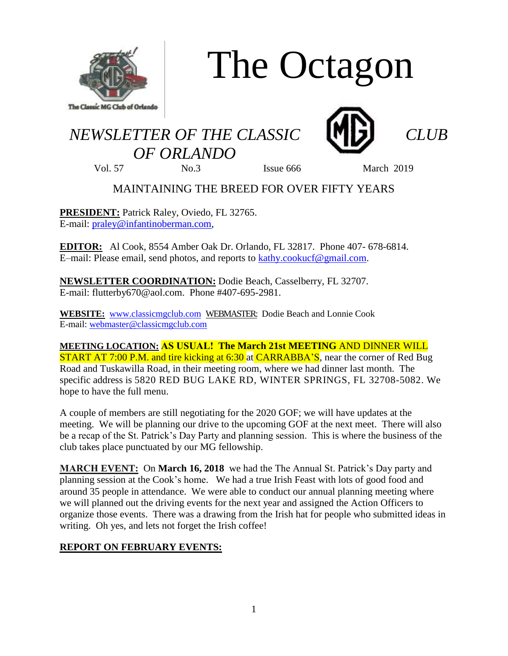

# The Octagon

## *NEWSLETTER OF THE CLASSIC CLUB OF ORLANDO*



Vol. 57 No.3 Issue 666 March 2019

### MAINTAINING THE BREED FOR OVER FIFTY YEARS

**PRESIDENT:** Patrick Raley, Oviedo, FL 32765. E-mail: [praley@infantinoberman.com,](mailto:praley@infantinoberman.com)

**EDITOR:** Al Cook, 8554 Amber Oak Dr. Orlando, FL 32817. Phone 407- 678-6814. E–mail: Please email, send photos, and reports to [kathy.cookucf@gmail.com.](mailto:kathy.cookucf@gmail.com)

**NEWSLETTER COORDINATION:** Dodie Beach, Casselberry, FL 32707. E-mail: flutterby670@aol.com. Phone #407-695-2981.

**WEBSITE:** [www.classicmgclub.com](http://www.classicmgclub.com/) WEBMASTER: Dodie Beach and Lonnie Cook E-mail[: webmaster@classicmgclub.com](mailto:webmaster@classicmgclub.com)

**MEETING LOCATION: AS USUAL! The March 21st MEETING** AND DINNER WILL **START AT 7:00 P.M. and tire kicking at 6:30 at CARRABBA'S**, near the corner of Red Bug Road and Tuskawilla Road, in their meeting room, where we had dinner last month. The specific address is 5820 RED BUG LAKE RD, WINTER SPRINGS, FL 32708-5082. We hope to have the full menu.

A couple of members are still negotiating for the 2020 GOF; we will have updates at the meeting. We will be planning our drive to the upcoming GOF at the next meet. There will also be a recap of the St. Patrick's Day Party and planning session. This is where the business of the club takes place punctuated by our MG fellowship.

**MARCH EVENT:** On **March 16, 2018** we had the The Annual St. Patrick's Day party and planning session at the Cook's home. We had a true Irish Feast with lots of good food and around 35 people in attendance. We were able to conduct our annual planning meeting where we will planned out the driving events for the next year and assigned the Action Officers to organize those events. There was a drawing from the Irish hat for people who submitted ideas in writing. Oh yes, and lets not forget the Irish coffee!

#### **REPORT ON FEBRUARY EVENTS:**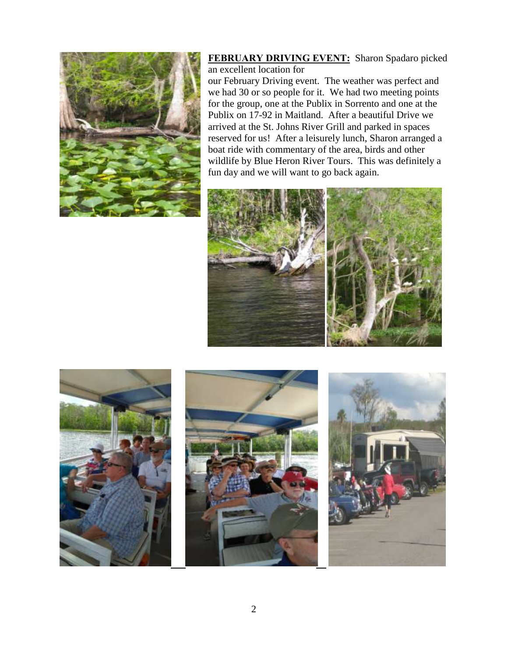

**FEBRUARY DRIVING EVENT:** Sharon Spadaro picked an excellent location for

our February Driving event. The weather was perfect and we had 30 or so people for it. We had two meeting points for the group, one at the Publix in Sorrento and one at the Publix on 17-92 in Maitland. After a beautiful Drive we arrived at the St. Johns River Grill and parked in spaces reserved for us! After a leisurely lunch, Sharon arranged a boat ride with commentary of the area, birds and other wildlife by Blue Heron River Tours. This was definitely a fun day and we will want to go back again.







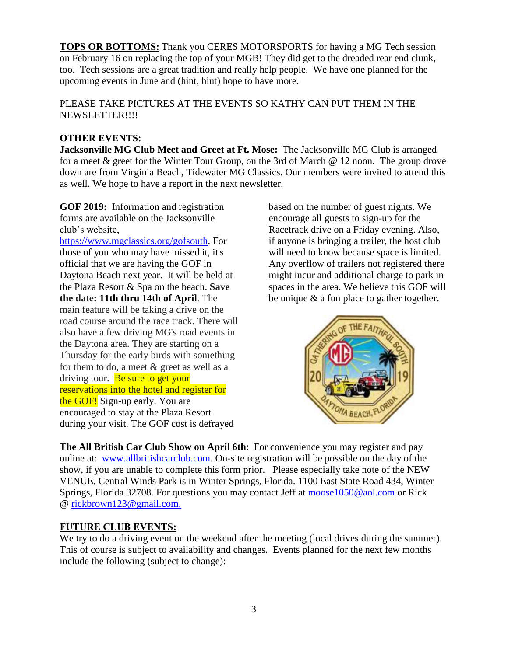**TOPS OR BOTTOMS:** Thank you CERES MOTORSPORTS for having a MG Tech session on February 16 on replacing the top of your MGB! They did get to the dreaded rear end clunk, too. Tech sessions are a great tradition and really help people. We have one planned for the upcoming events in June and (hint, hint) hope to have more.

PLEASE TAKE PICTURES AT THE EVENTS SO KATHY CAN PUT THEM IN THE NEWSLETTER!!!!

#### **OTHER EVENTS:**

**Jacksonville MG Club Meet and Greet at Ft. Mose:** The Jacksonville MG Club is arranged for a meet & greet for the Winter Tour Group, on the 3rd of March @ 12 noon. The group drove down are from Virginia Beach, Tidewater MG Classics. Our members were invited to attend this as well. We hope to have a report in the next newsletter.

**GOF 2019:** Information and registration forms are available on the Jacksonville club's website,

[https://www.mgclassics.org/gofsouth.](https://www.mgclassics.org/gofsouth) For those of you who may have missed it, it's official that we are having the GOF in Daytona Beach next year. It will be held at the Plaza Resort & Spa on the beach. **Save the date: 11th thru 14th of April**. The main feature will be taking a drive on the road course around the race track. There will also have a few driving MG's road events in the Daytona area. They are starting on a Thursday for the early birds with something for them to do, a meet & greet as well as a driving tour. Be sure to get your reservations into the hotel and register for the GOF! Sign-up early. You are encouraged to stay at the Plaza Resort during your visit. The GOF cost is defrayed

based on the number of guest nights. We encourage all guests to sign-up for the Racetrack drive on a Friday evening. Also, if anyone is bringing a trailer, the host club will need to know because space is limited. Any overflow of trailers not registered there might incur and additional charge to park in spaces in the area. We believe this GOF will be unique & a fun place to gather together.



**The All British Car Club Show on April 6th**: For convenience you may register and pay online at: [www.allbritishcarclub.com.](https://na01.safelinks.protection.outlook.com/?url=http%3A%2F%2Fwww.allbritishcarclub.com%2F&data=02%7C01%7CKathy.Cook%40ucf.edu%7C94e790225d2f481ad5f208d695459f3a%7Cbb932f15ef3842ba91fcf3c59d5dd1f1%7C0%7C0%7C636860524620387202&sdata=xEU4mwdtEZK3Wpwo2e69A%2BfzrWILjRbK37UMFNsrrfg%3D&reserved=0) On-site registration will be possible on the day of the show, if you are unable to complete this form prior. Please especially take note of the NEW VENUE, Central Winds Park is in Winter Springs, Florida. 1100 East State Road 434, Winter Springs, Florida 32708. For questions you may contact Jeff at [moose1050@aol.com](mailto:moose1050@aol.com) or Rick @ [rickbrown123@gmail.com.](mailto:rickbrown123@gmail.com.)

#### **FUTURE CLUB EVENTS:**

We try to do a driving event on the weekend after the meeting (local drives during the summer). This of course is subject to availability and changes. Events planned for the next few months include the following (subject to change):